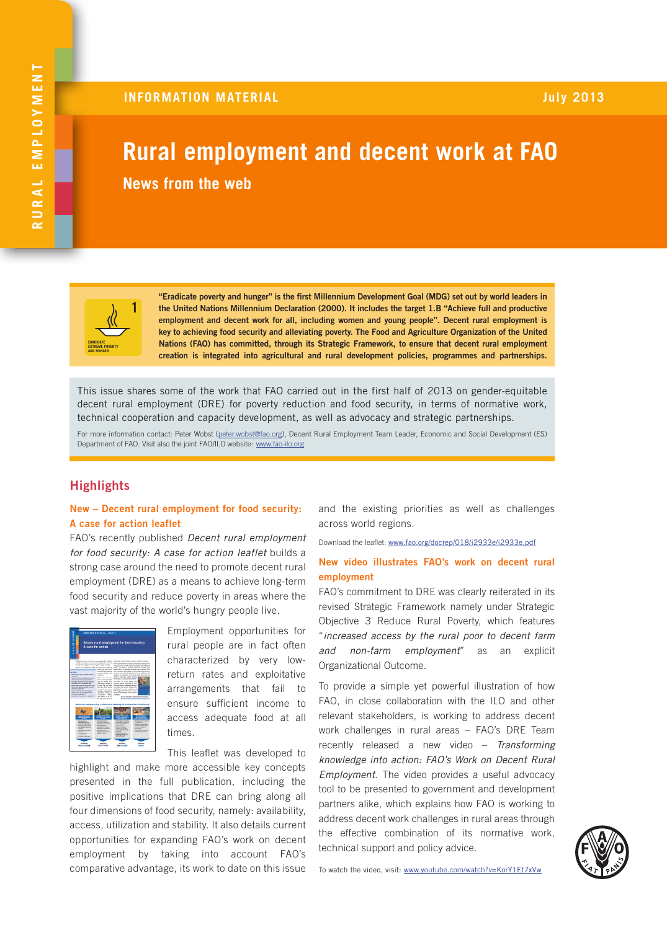# **Rural employment and decent work at FAO News from the web**



"Eradicate poverty and hunger" is the first Millennium Development Goal (MDG) set out by world leaders in the United Nations Millennium Declaration (2000). It includes the target 1.B "Achieve full and productive employment and decent work for all, including women and young people". Decent rural employment is key to achieving food security and alleviating poverty. The Food and Agriculture Organization of the United Nations (FAO) has committed, through its Strategic Framework, to ensure that decent rural employment creation is integrated into agricultural and rural development policies, programmes and partnerships.

This issue shares some of the work that FAO carried out in the first half of 2013 on gender-equitable decent rural employment (DRE) for poverty reduction and food security, in terms of normative work, technical cooperation and capacity development, as well as advocacy and strategic partnerships.

For more information contact: Peter Wobst [\(peter.wobst@fao.org\)](mailto:peter.wobst%40fao.org?subject=), Decent Rural Employment Team Leader, Economic and Social Development (ES) Department of FAO. Visit also the joint FAO/ILO website: [www.fao-ilo.org](http://www.fao-ilo.org/)

# **Highlights**

## New – Decent rural employment for food security: A case for action leaflet

FAO's recently published *Decent rural employment for food security: A case for action leaflet* builds a strong case around the need to promote decent rural employment (DRE) as a means to achieve long-term food security and reduce poverty in areas where the vast majority of the world's hungry people live.



Employment opportunities for rural people are in fact often characterized by very lowreturn rates and exploitative arrangements that fail to ensure sufficient income to access adequate food at all times.

This leaflet was developed to

highlight and make more accessible key concepts presented in the full publication, including the positive implications that DRE can bring along all four dimensions of food security, namely: availability, access, utilization and stability. It also details current opportunities for expanding FAO's work on decent employment by taking into account FAO's comparative advantage, its work to date on this issue and the existing priorities as well as challenges across world regions.

Download the leaflet: [www.fao.org/docrep/018/i2933e/i2933e.pdf](http://www.fao.org/docrep/018/i2933e/i2933e.pdf)

#### New video illustrates FAO's work on decent rural employment

FAO's commitment to DRE was clearly reiterated in its revised Strategic Framework namely under Strategic Objective 3 Reduce Rural Poverty, which features "*increased access by the rural poor to decent farm and non-farm employment*" as an explicit Organizational Outcome.

To provide a simple yet powerful illustration of how FAO, in close collaboration with the ILO and other relevant stakeholders, is working to address decent work challenges in rural areas – FAO's DRE Team recently released a new video – *Transforming knowledge into action: FAO's Work on Decent Rural Employment*. The video provides a useful advocacy tool to be presented to government and development partners alike, which explains how FAO is working to address decent work challenges in rural areas through the effective combination of its normative work, technical support and policy advice.

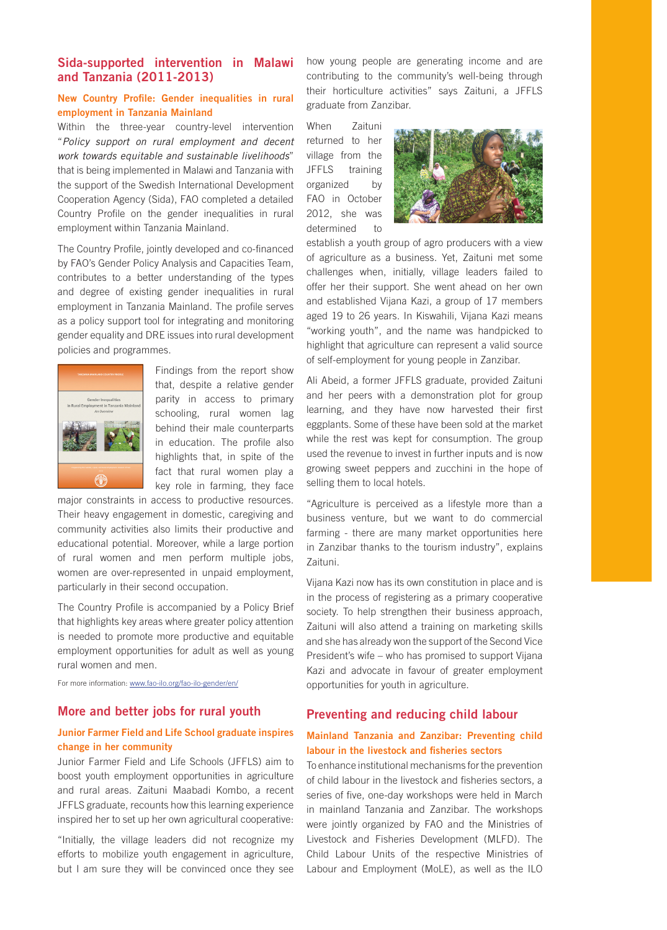# Sida-supported intervention in Malawi and Tanzania (2011-2013)

### New Country Profile: Gender inequalities in rural employment in Tanzania Mainland

Within the three-year country-level intervention "*Policy support on rural employment and decent work towards equitable and sustainable livelihoods*" that is being implemented in Malawi and Tanzania with the support of the Swedish International Development Cooperation Agency (Sida), FAO completed a detailed Country Profile on the gender inequalities in rural employment within Tanzania Mainland.

The Country Profile, jointly developed and co-financed by FAO's Gender Policy Analysis and Capacities Team, contributes to a better understanding of the types and degree of existing gender inequalities in rural employment in Tanzania Mainland. The profile serves as a policy support tool for integrating and monitoring gender equality and DRE issues into rural development policies and programmes.



Findings from the report show that, despite a relative gender parity in access to primary schooling, rural women lag behind their male counterparts in education. The profile also highlights that, in spite of the fact that rural women play a key role in farming, they face

major constraints in access to productive resources. Their heavy engagement in domestic, caregiving and community activities also limits their productive and educational potential. Moreover, while a large portion of rural women and men perform multiple jobs, women are over-represented in unpaid employment, particularly in their second occupation.

The Country Profile is accompanied by a Policy Brief that highlights key areas where greater policy attention is needed to promote more productive and equitable employment opportunities for adult as well as young rural women and men.

For more information: [www.fao-ilo.org/fao-ilo-gender/en/](http://www.fao-ilo.org/fao-ilo-gender/en/)

#### More and better jobs for rural youth

## Junior Farmer Field and Life School graduate inspires change in her community

Junior Farmer Field and Life Schools (JFFLS) aim to boost youth employment opportunities in agriculture and rural areas. Zaituni Maabadi Kombo, a recent JFFLS graduate, recounts how this learning experience inspired her to set up her own agricultural cooperative:

"Initially, the village leaders did not recognize my efforts to mobilize youth engagement in agriculture, but I am sure they will be convinced once they see how young people are generating income and are contributing to the community's well-being through their horticulture activities" says Zaituni, a JFFLS graduate from Zanzibar.

When Zaituni returned to her village from the JFFLS training organized by FAO in October 2012, she was determined to



establish a youth group of agro producers with a view of agriculture as a business. Yet, Zaituni met some challenges when, initially, village leaders failed to offer her their support. She went ahead on her own and established Vijana Kazi, a group of 17 members aged 19 to 26 years. In Kiswahili, Vijana Kazi means "working youth", and the name was handpicked to highlight that agriculture can represent a valid source of self-employment for young people in Zanzibar.

Ali Abeid, a former JFFLS graduate, provided Zaituni and her peers with a demonstration plot for group learning, and they have now harvested their first eggplants. Some of these have been sold at the market while the rest was kept for consumption. The group used the revenue to invest in further inputs and is now growing sweet peppers and zucchini in the hope of selling them to local hotels.

"Agriculture is perceived as a lifestyle more than a business venture, but we want to do commercial farming - there are many market opportunities here in Zanzibar thanks to the tourism industry", explains Zaituni.

Vijana Kazi now has its own constitution in place and is in the process of registering as a primary cooperative society. To help strengthen their business approach, Zaituni will also attend a training on marketing skills and she has already won the support of the Second Vice President's wife – who has promised to support Vijana Kazi and advocate in favour of greater employment opportunities for youth in agriculture.

## Preventing and reducing child labour

## Mainland Tanzania and Zanzibar: Preventing child labour in the livestock and fisheries sectors

To enhance institutional mechanisms for the prevention of child labour in the livestock and fisheries sectors, a series of five, one-day workshops were held in March in mainland Tanzania and Zanzibar. The workshops were jointly organized by FAO and the Ministries of Livestock and Fisheries Development (MLFD). The Child Labour Units of the respective Ministries of Labour and Employment (MoLE), as well as the ILO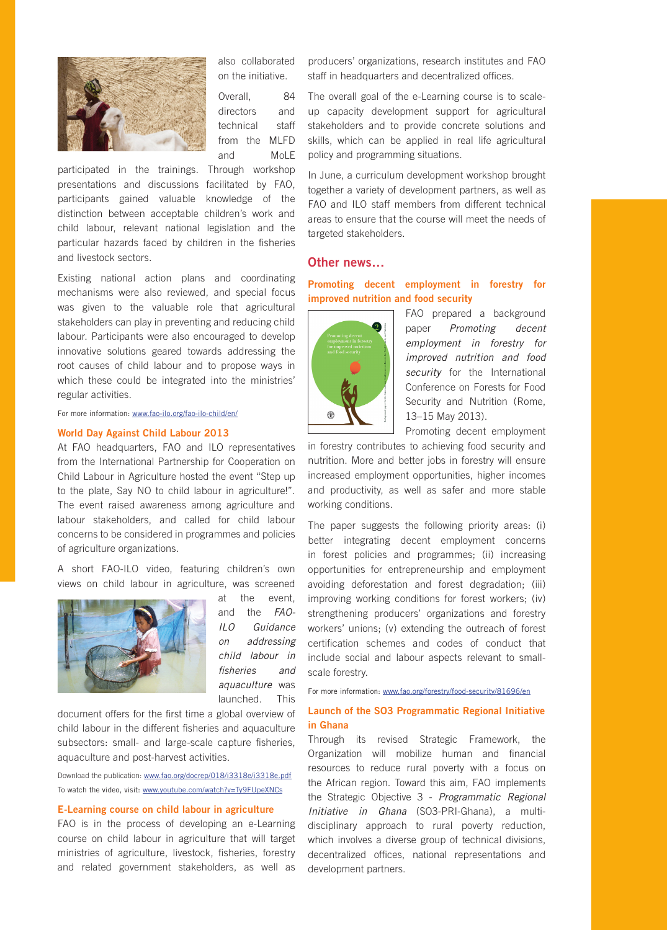

also collaborated on the initiative.

Overall, 84 directors and technical staff from the MLFD and MoLE

participated in the trainings. Through workshop presentations and discussions facilitated by FAO, participants gained valuable knowledge of the distinction between acceptable children's work and child labour, relevant national legislation and the particular hazards faced by children in the fisheries and livestock sectors.

Existing national action plans and coordinating mechanisms were also reviewed, and special focus was given to the valuable role that agricultural stakeholders can play in preventing and reducing child labour. Participants were also encouraged to develop innovative solutions geared towards addressing the root causes of child labour and to propose ways in which these could be integrated into the ministries' regular activities.

For more information: [www.fao-ilo.org/fao-ilo-child/en/](http://www.fao-ilo.org/fao-ilo-child/en/)

#### World Day Against Child Labour 2013

At FAO headquarters, FAO and ILO representatives from the International Partnership for Cooperation on Child Labour in Agriculture hosted the event "Step up to the plate, Say NO to child labour in agriculture!". The event raised awareness among agriculture and labour stakeholders, and called for child labour concerns to be considered in programmes and policies of agriculture organizations.

A short FAO-ILO video, featuring children's own views on child labour in agriculture, was screened



at the event, and the *FAO-ILO Guidance on addressing child labour in fisheries and aquaculture* was launched. This

document offers for the first time a global overview of child labour in the different fisheries and aquaculture subsectors: small- and large-scale capture fisheries, aquaculture and post-harvest activities.

Download the publication: [www.fao.org/docrep/018/i3318e/i3318e.pdf](http://www.fao.org/docrep/018/i3318e/i3318e.pdf) To watch the video, visit: [www.youtube.com/watch?v=Ty9FUpeXNCs](http://www.youtube.com/watch?v=Ty9FUpeXNCs)

#### E-Learning course on child labour in agriculture

FAO is in the process of developing an e-Learning course on child labour in agriculture that will target ministries of agriculture, livestock, fisheries, forestry and related government stakeholders, as well as

producers' organizations, research institutes and FAO staff in headquarters and decentralized offices.

The overall goal of the e-Learning course is to scaleup capacity development support for agricultural stakeholders and to provide concrete solutions and skills, which can be applied in real life agricultural policy and programming situations.

In June, a curriculum development workshop brought together a variety of development partners, as well as FAO and ILO staff members from different technical areas to ensure that the course will meet the needs of targeted stakeholders.

## Other news…

## Promoting decent employment in forestry for improved nutrition and food security



FAO prepared a background paper *Promoting decent employment in forestry for improved nutrition and food security* for the International Conference on Forests for Food Security and Nutrition (Rome, 13–15 May 2013).

Promoting decent employment

in forestry contributes to achieving food security and nutrition. More and better jobs in forestry will ensure increased employment opportunities, higher incomes and productivity, as well as safer and more stable working conditions.

The paper suggests the following priority areas: (i) better integrating decent employment concerns in forest policies and programmes; (ii) increasing opportunities for entrepreneurship and employment avoiding deforestation and forest degradation; (iii) improving working conditions for forest workers; (iv) strengthening producers' organizations and forestry workers' unions; (v) extending the outreach of forest certification schemes and codes of conduct that include social and labour aspects relevant to smallscale forestry.

For more information: [www.fao.org/forestry/food-security/81696/en](http://www.fao.org/forestry/37072-0fead0729740853a8e0e2410ffde85d8e.pdf)

## Launch of the SO3 Programmatic Regional Initiative in Ghana

Through its revised Strategic Framework, the Organization will mobilize human and financial resources to reduce rural poverty with a focus on the African region. Toward this aim, FAO implements the Strategic Objective 3 - *Programmatic Regional Initiative in Ghana* (SO3-PRI-Ghana), a multidisciplinary approach to rural poverty reduction, which involves a diverse group of technical divisions, decentralized offices, national representations and development partners.